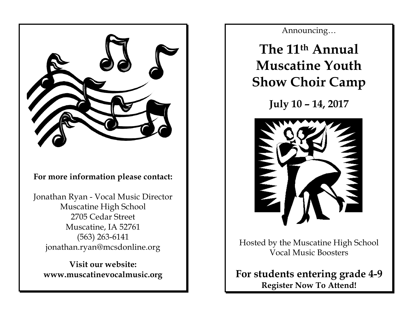

#### **For more information please contact:**

Jonathan Ryan - Vocal Music Director Muscatine High School 2705 Cedar Street Muscatine, IA 52761 (563) 263-6141 jonathan.ryan@mcsdonline.org

**Visit our website: www.muscatinevocalmusic.org** Announcing…

**The 11th Annual Muscatine Youth Show Choir Camp**

**July 10 – 14, 2017**



Hosted by the Muscatine High School Vocal Music Boosters

**For students entering grade 4-9 Register Now To Attend!**